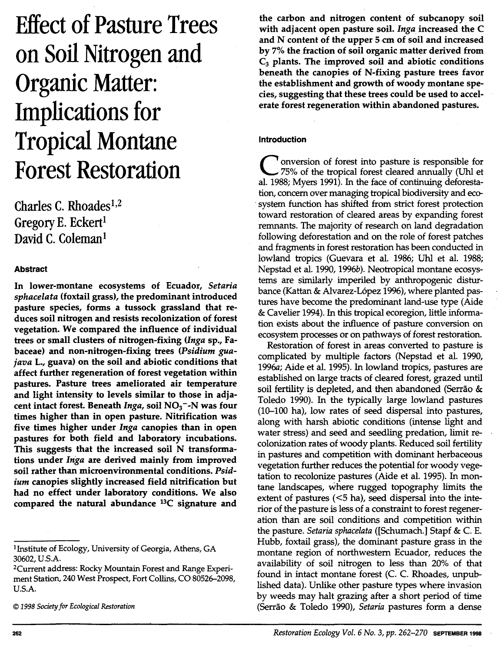# **Effect of Pasture Trees on Soil Nitrogen and Organic Matter: Implications for Tropical Montane Forest Restoration**

Charles C. Rhoades<sup>1,2</sup> Gregory E. Eckert<sup>1</sup> David C. Coleman<sup>1</sup>

# Abstract

In lower-montane ecosystems of Ecuador, *Setaria sphacelata* (foxtail grass), the predominant introduced pasture species, forms a tussock grassland that reduces soil nitrogen and resists recolonization of forest vegetation. We compared the influence of individual trees or small clusters of nitrogen-fixing *(Inga* sp., Fa baceae) and non-nitrogen-fixing trees (Psidium gua-*1ava* L., guava) on the soil and abiotic conditions that affect further regeneration of forest vegetation within pastures. Pasture trees ameliorated air temperature and light intensity to levels similar to those in adjacent intact forest. Beneath *Inga*, soil NO<sub>3</sub><sup>-</sup>-N was four times higher than in open pasture. Nitrification was five times higher under *Inga* canopies than in open pastures for both field and laboratory incubations. This suggests that the increased soil N transformations under *Inga* are derived mainly from improved soil rather than microenvironmental conditions. *Psidium* canopies slightly increased field nitrification but had no effect under laboratory conditions. We also compared the natural abundance 13C signature and

<sup>1</sup>Institute of Ecology, University of Georgia, Athens, GA 30602, U.S.A.

<sup>2</sup>Current address: Rocky Mountain Forest and Range Experiment Station, 240 West Prospect, Fort Collins, CO 80526-2098, U.S.A.

© *1998 Society for Ecological Restoration* 

the carbon and nitrogen content of subcanopy soil with adjacent open pasture soil. *Inga* increased the C and N content of the upper 5 cm of soil and increased by 7% the fraction of soil organic matter derived from  $C_3$  plants. The improved soil and abiotic conditions beneath the canopies of N-fixing pasture trees favor the establishment and growth of woody montane species, suggesting that these trees could be used to accelerate forest regeneration within abandoned pastures.

## Introduction

<sup>7</sup> onversion of forest into pasture is responsible for 75% of the tropical forest cleared annually (Uhl et al. 1988; Myers 1991). In the face of continuing deforestation, concern over managing tropical biodiversity and eco system function has shifted from strict forest protection toward restoration of cleared areas by expanding forest remnants. The majority of research on land degradation following deforestation and on the role of forest patches and fragments in forest restoration has been conducted in lowland tropics (Guevara et al. 1986; Uhl et al. 1988; Nepstad et al. 1990, *l996b).* Neotropical montane ecosystems are similarly imperiled by anthropogenic disturbance (Kattan & Alvarez-López 1996), where planted pastures have become the predominant land-use type (Aide & Cavelier 1994). In this tropical ecoregion, little information exists about the influence of pasture conversion on ecosystem processes or on pathways of forest restoration.

Restoration of forest in areas converted to pasture is complicated by multiple factors (Nepstad et al. 1990, 1996a; Aide et al. 1995). In lowland tropics, pastures are established on large tracts of cleared forest, grazed until soil fertility is depleted, and then abandoned (Serrão & Toledo 1990). In the typically large lowland pastures (10-100 ha), low rates of seed dispersal into pastures, along with harsh abiotic conditions (intense light and water stress) and seed and seedling predation, limit re- ~olonization rates of woody plants. Reduced soil fertility m pastures and competition with dominant herbaceous vegetation further reduces the potential for woody vegetation to recolonize pastures (Aide et al. 1995). In montane landscapes, where rugged topography limits the extent of pastures  $(<5$  ha), seed dispersal into the interior of the pasture is less of a constraint to forest regeneration than are soil conditions and competition within the pasture. *Setaria sphacelata* ([Schumach.] Stapf & C. E. Hubb, foxtail grass), the dominant pasture grass in the montane region of northwestern Ecuador, reduces the availability of soil nitrogen to less than 20% of that found in intact montane forest (C. C. Rhoades, unpublished data). Unlike other pasture types where invasion by weeds may halt grazing after a short period of time (Serrao & Toledo 1990), *Setaria* pastures form a dense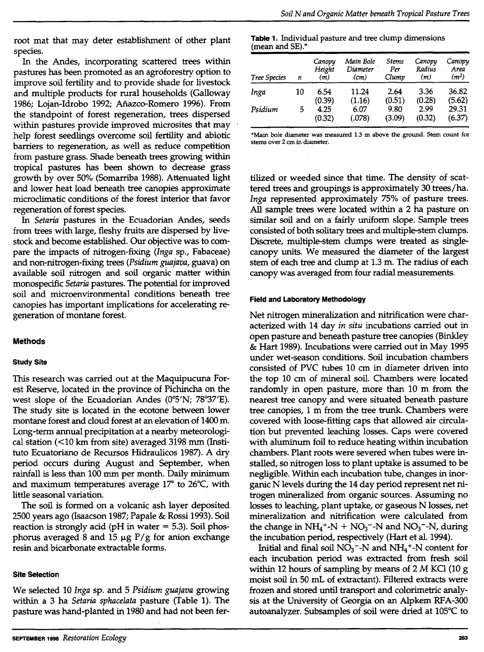root mat that may deter establishment of other plant species.

In the Andes, incorporating scattered trees within pastures has been promoted as an agroforestry option to improve soil fertility and to provide shade for livestock and multiple products for rural households (Galloway 1986; Lojan-Idrobo 1992; Aftazco-Romero 1996). From the standpoint of forest regeneration, trees dispersed within pastures provide improved microsites that may help forest seedlings overcome soil fertility and abiotic barriers to regeneration, as well as reduce competition from pasture grass. Shade beneath trees growing within tropical pastures has been shown to decrease grass growth by over 50% (Somarriba 1988). Attenuated light and lower heat load beneath tree canopies approximate microclimatic conditions of the forest interior that favor regeneration of forest species.

In *Setaria* pastures in the Ecuadorian Andes, seeds from trees with large, fleshy fruits are dispersed by livestock and become established. Our objective was to compare the impacts of nitrogen-fixing *(Inga* sp., Fabaceae) and non-nitrogen-fixing trees *(Psidium guajava,* guava) on available soil nitrogen and soil organic matter within monospecific *Setaria* pastures. The potential for improved soil and microenvironmental conditions beneath tree canopies has important implications for accelerating regeneration of montane forest.

# **Methods**

### **Study Site**

This research was carried out at the Maquipucuna Forest Reserve, located in the province of Pichincha on the west slope of the Ecuadorian Andes (0°5'N; 78"37'E). The study site is located in the ecotone between lower montane forest and cloud forest at an elevation of 1400 m. Long-term annual precipitation at a nearby meteorological station  $($  < 10 km from site) averaged 3198 mm (Instituto Ecuatoriano de Recursos Hidraulicos 1987). A dry period occurs during August and September, when rainfall is less than 100 mm per month. Daily minimum and maximum temperatures average 17° to 26°C, with little seasonal variation.

The soil is formed on a volcanic ash layer deposited 2500 years ago (Isaacson 1987; Papale & Rossi 1993). Soil reaction is strongly acid ( $pH$  in water  $=$  5.3). Soil phosphorus averaged 8 and 15  $\mu$ g  $P/g$  for anion exchange resin and bicarbonate extractable forms.

#### **Site Selection**

We selected 10 *Inga* sp. and 5 *Psidium guajava* growing within a 3 ha *Setaria sphacelata* pasture (Table 1). The pasture was hand-planted in 1980 and had not been fer-

| Tree Species | n  | Canopy<br>Height<br>(m) | Main Bole<br>Diameter<br>(cm) | <b>Stems</b><br>Per<br>Clump | Canopy<br>Radius<br>(m) | Canopy<br>Area<br>(m <sup>2</sup> ) |
|--------------|----|-------------------------|-------------------------------|------------------------------|-------------------------|-------------------------------------|
| Inga         | 10 | 6.54                    | 11.24                         | 2.64                         | 3.36                    | 36.82                               |
| Psidium      | 5  | (0.39)<br>4.25          | (1.16)<br>6.07                | (0.51)<br>9.80               | (0.28)<br>2.99          | (5.62)<br>29.31                     |
|              |    | (0.32)                  | (.078)                        | (3.09)                       | (0.32)                  | (6.37)                              |

•Main bole diameter was measured 1.3 m above the ground. Stem count for stems over 2 cm in diameter.

tilized or weeded since that time. The density of scattered trees and groupings is approximately 30 trees/ha. *Inga* represented approximately 75% of pasture trees. All sample trees were located within a 2 ha pasture on similar soil and on a fairly uniform slope. Sample trees ~onsisted of both solitary trees and multiple-stem clumps. Discrete, multiple-stem clumps were treated as singlecanopy units. We measured the diameter of the largest stem of each tree and clump at 1.3 m. The radius of each canopy was averaged from four radial measurements.

#### **Field and Laboratory Methodology**

Net nitrogen mineralization and nitrification were characterized with 14 day *in situ* incubations carried out in open pasture and beneath pasture tree canopies (Binkley & Hart 1989). Incubations were carried out in May 1995 under wet-season conditions. Soil incubation chambers consisted of PVC tubes 10 cm in diameter driven into the top 10 cm of mineral soil. Chambers were located randomly in open pasture, more than 10 m from the nearest tree canopy and were situated beneath pasture tree canopies, 1 m from the tree trunk. Chambers were covered with loose-fitting caps that allowed air circulation but prevented leaching losses. Caps were covered with aluminum foil to reduce heating within incubation chambers. Plant roots were severed when tubes were installed, so nitrogen loss to plant uptake is assumed to be negligible. Within each incubation tube, changes in inorganic N levels during the 14 day period represent net nitrogen mineralized from organic sources. Assuming no losses to leaching, plant uptake, or gaseous N losses, net mineralization and nitrification were calculated from the change in  $NH_4 + N + NO_3 - N$  and  $NO_3 - N$ , during the incubation period, respectively (Hart et al. 1994).

Initial and final soil  $NO<sub>3</sub>$ <sup>-</sup>-N and  $NH<sub>4</sub>$ <sup>+</sup>-N content for each incubation period was extracted from fresh soil within 12 hours of sampling by means of 2 M KCl (10 g moist soil in 50 mL of extractant). Filtered extracts were frozen and stored until transport and colorimetric analysis at the University of Georgia on an Alpkem RFA-300 autoanalyzer. Subsamples of soil were dried at 105°C to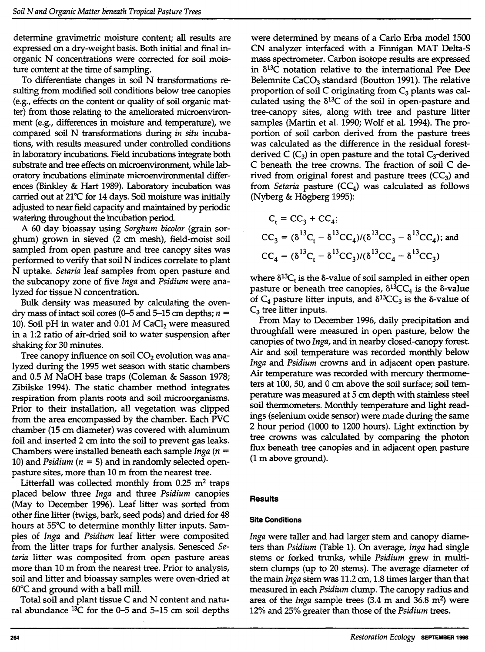determine gravimetric moisture content; all results are expressed on a dry-weight basis. Both initial and final inorganic N concentrations were corrected for soil moisture content at the time of sampling.

To differentiate changes in soil N transformations resulting from modified soil conditions below tree canopies (e.g., effects on the content or quality of soil organic matter) from those relating to the ameliorated microenvironment (e.g., differences in moisture and temperature), we compared soil N transformations during *in situ* incubations, with results measured under controlled conditions in laboratory incubations. Field incubations integrate both substrate and tree effects on microenvironment, while laboratory incubations eliminate microenvironmental differences (Binkley & Hart 1989). Laboratory incubation was carried out at 21°C for 14 days. Soil moisture was initially adjusted to near field capacity and maintained by periodic watering throughout the incubation period.

A 60 day bioassay using *Sorghum bicolor* (grain sorghum) grown in sieved (2 cm mesh), field-moist soil sampled from open pasture and tree canopy sites was performed to verify that soil N indices correlate to plant N uptake. *Setaria* leaf samples from open pasture and the subcanopy zone of five *Inga* and *Psidium* were analyzed for tissue N concentration.

Bulk density was measured by calculating the ovendry mass of intact soil cores (0-5 and 5-15 cm depths;  $n =$ 10). Soil pH in water and 0.01  $M$  CaCl<sub>2</sub> were measured in a 1:2 ratio of air-dried soil to water suspension after shaking for 30 minutes.

Tree canopy influence on soil  $CO<sub>2</sub>$  evolution was analyzed during the 1995 wet season with static chambers and 0.5 M NaOH base traps (Coleman & Sasson 1978; Zibilske 1994). The static chamber method integrates respiration from plants roots and soil microorganisms. Prior to their installation, all vegetation was clipped from the area encompassed by the chamber. Each PVC chamber (15 cm diameter) was covered with aluminum foil and inserted 2 cm into the soil to prevent gas leaks. Chambers were installed beneath each sample *Inga (n* = 10) and *Psidium* ( $n = 5$ ) and in randomly selected openpasture sites, more than 10 m from the nearest tree.

Litterfall was collected monthly from  $0.25$  m<sup>2</sup> traps placed below three *Inga* and three *Psidium* canopies (May to December 1996). Leaf litter was sorted from other fine litter (twigs, bark, seed pods) and dried for 48 hours at 55°C to determine monthly litter inputs. Samples of *Inga* and *Psidium* leaf litter were composited from the litter traps for further analysis. Senesced *Setaria* litter was composited from open pasture areas more than 10 m from the nearest tree. Prior to analysis, soil and litter and bioassay samples were oven-dried at 60°C and ground with a ball mill.

Total soil and plant tissue C and N content and natural abundance <sup>1</sup>3C for the 0-5 and 5-15 cm soil depths were determined by means of a Carlo Erba model 1500 CN analyzer interfaced with a Finnigan MAT Delta-S mass spectrometer. Carbon isotope results are expressed in  $\delta^{13}$ C notation relative to the international Pee Dee Belemnite CaCO<sub>3</sub> standard (Boutton 1991). The relative proportion of soil C originating from  $C_3$  plants was calculated using the  $\delta^{13}$ C of the soil in open-pasture and tree-canopy sites, along with tree and pasture litter samples (Martin et al. 1990; Wolf et al. 1994). The proportion of soil carbon derived from the pasture trees was calculated as the difference in the residual forestderived C  $(C_3)$  in open pasture and the total  $C_3$ -derived C beneath the tree crowns. The fraction of soil C derived from original forest and pasture trees  $(CC<sub>3</sub>)$  and from *Setaria* pasture  $(CC<sub>4</sub>)$  was calculated as follows (Nyberg & Hogberg 1995):

$$
C_{t} = CC_{3} + CC_{4};
$$
  
\n
$$
CC_{3} = (\delta^{13}C_{t} - \delta^{13}CC_{4})/(\delta^{13}CC_{3} - \delta^{13}CC_{4});
$$
 and  
\n
$$
CC_{4} = (\delta^{13}C_{t} - \delta^{13}CC_{3})/(\delta^{13}CC_{4} - \delta^{13}CC_{3})
$$

where  $\delta^{13}C_t$  is the  $\delta$ -value of soil sampled in either open pasture or beneath tree canopies,  $\delta^{13}CC_4$  is the  $\delta$ -value of  $C_4$  pasture litter inputs, and  $\delta^{13}CC_3$  is the  $\delta$ -value of  $C_3$  tree litter inputs.

From May to December 1996, daily precipitation and throughfall were measured in open pasture, below the canopies of two *Inga,* and in nearby dosed-canopy forest. Air and soil temperature was recorded monthly below *Inga* and *Psidium* crowns and in adjacent open pasture. Air temperature was recorded with mercury thermometers at 100, 50, and 0 cm above the soil surface; soil temperature was measured at 5 cm depth with stainless steel soil thermometers. Monthly temperature and light readings (selenium oxide sensor) were made during the same 2 hour period (1000 to 1200 hours). Light extinction by tree crowns was calculated by comparing the photon flux beneath tree canopies and in adjacent open pasture (1 m above ground).

# **Results**

# Site Conditions

*Inga* were taller and had larger stem and canopy diameters than *Psidium* (Table 1). On average, *Inga* had single stems or forked trunks, while *Psidium* grew in multistem clumps (up to 20 stems). The average diameter of the main *Inga* stem was 11.2 cm, 1.8 times larger than that measured in each *Psidium* clump. The canopy radius and area of the *Inga* sample trees (3.4 m and 36.8 m2) were 12% and 25% greater than those of the *Psidium* trees.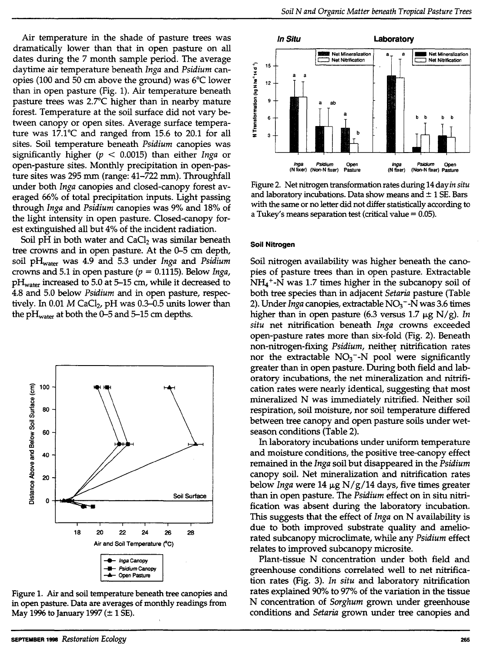Air temperature in the shade of pasture trees was dramatically lower than that in open pasture on all dates during the 7 month sample period. The average daytime air temperature beneath *Inga* and *Psidium* canopies (100 and 50 cm above the ground) was 6°C lower than in open pasture (Fig. 1). Air temperature beneath pasture trees was 2.7°C higher than in nearby mature forest. Temperature at the soil surface did not vary between canopy or open sites. Average surface temperature was 17.1°C and ranged from 15.6 to 20.l for all sites. Soil temperature beneath *Psidium* canopies was significantly higher *(p* < 0.0015) than either *Inga* or open-pasture sites. Monthly precipitation in open-pasture sites was 295 mm (range: 41-722 mm). Throughfall under both *Inga* canopies and closed-canopy forest averaged 66% of total precipitation inputs. Light passing through *Inga* and *Psidium* canopies was 9% and 18% of the light intensity in open pasture. Closed-canopy forest extinguished all but 4% of the incident radiation.

Soil pH in both water and  $CaCl<sub>2</sub>$  was similar beneath tree crowns and in open pasture. At the 0-5 cm depth, soil pH<sub>water</sub> was 4.9 and 5.3 under *Inga* and *Psidium* crowns and 5.1 in open pasture  $(p = 0.1115)$ . Below *Inga*,  $pH<sub>water</sub>$  increased to 5.0 at 5–15 cm, while it decreased to 4.8 and 5.0 below *Psidium* and in open pasture, respectively. In 0.01  $M$  CaCl<sub>2</sub>, pH was 0.3-0.5 units lower than the pH<sub>water</sub> at both the 0-5 and 5-15 cm depths.



Figure 1. Air and soil temperature beneath tree canopies and in open pasture. Data are averages of monthly readings from May 1996 to January 1997  $(\pm 1 \text{ SE})$ .



Figure 2. Net nitrogen transformation rates during 14 *dayin situ*  and laboratory incubations. Data show means and  $\pm$  1 SE. Bars with the same or no letter did not differ statistically according to a Tukey's means separation test (critical value  $= 0.05$ ).

#### **Soil Nitrogen**

Soil nitrogen availability was higher beneath the canopies of pasture trees than in open pasture. Extractable  $NH<sub>4</sub>$ <sup>+</sup>-N was 1.7 times higher in the subcanopy soil of both tree species than in adjacent *Setaria* pasture (Table 2). Under *Inga* canopies, extractable NO<sub>3</sub><sup>-</sup>-N was 3.6 times higher than in open pasture (6.3 versus  $1.7 \mu$ g N/g). *In situ* net nitrification beneath *Inga* crowns exceeded open-pasture rates more than six-fold (Fig. 2). Beneath non-nitrogen-fixing *Psidium*, neither nitrification rates nor the extractable  $NO<sub>3</sub>$ <sup>-</sup>-N pool were significantly greater than in open pasture. During both field and laboratory incubations, the net mineralization and nitrification rates were nearly identical, suggesting that most mineralized N was immediately nitrified. Neither soil respiration, soil moisture, nor soil temperature differed between tree canopy and open pasture soils under wetseason conditions (Table 2).

In laboratory incubations under uniform temperature and moisture conditions, the positive tree-canopy effect remained in the *Inga* soil but disappeared in the *Psidium*  canopy soil. Net mineralization and nitrification rates below *Inga* were 14 µg N/g/14 days, five times greater than in open pasture. The *Psidium* effect on in situ nitrification was absent during the laboratory incubation. This suggests that the effect of *Inga* on N availability is due to both improved substrate quality and ameliorated subcanopy microclimate, while any *Psidium* effect relates to improved subcanopy microsite.

Plant-tissue N concentration under both field and greenhouse conditions correlated well to net nitrification rates (Fig. 3). *In situ* and laboratory nitrification rates explained 90% to 97% of the variation in the tissue N concentration of *Sorghum* grown under greenhouse conditions and *Setaria* grown under tree canopies and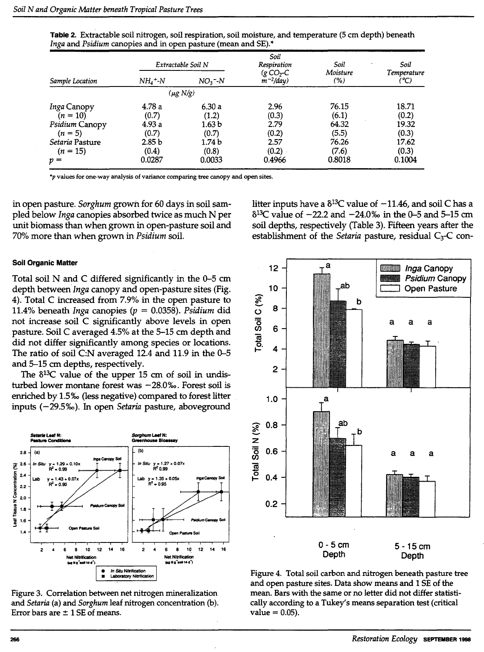| Sample Location                  |                            | Extractable Soil N | Soil<br>Respiration          | Soil            | Soil<br>Temperature<br>(°C) |  |
|----------------------------------|----------------------------|--------------------|------------------------------|-----------------|-----------------------------|--|
|                                  | $NH_4$ +-N                 | $NO3$ - $N$        | $(g$ CO2-C<br>$m^{-2}/day$ ) | Moisture<br>(%) |                             |  |
|                                  |                            | (μg N/g)           |                              |                 |                             |  |
| <i>Inga</i> Canopy<br>$(n = 10)$ | 4.78a<br>(0.7)             | 6.30a<br>(1.2)     | 2.96<br>(0.3)                | 76.15<br>(6.1)  | 18.71<br>(0.2)              |  |
| Psidium Canopy<br>$(n = 5)$      | 4.93a<br>(0.7)             | 1.63 b<br>(0.7)    | 2.79<br>(0.2)                | 64.32<br>(5.5)  | 19.32<br>(0.3)              |  |
| Setaria Pasture<br>$(n = 15)$    | 2.85 <sub>b</sub><br>(0.4) | 1.74 b<br>(0.8)    | 2.57<br>(0.2)                | 76.26<br>(7.6)  | 17.62<br>(0.3)              |  |
| $p =$                            | 0.0287                     | 0.0033             | 0.4966                       | 0.8018          | 0.1004                      |  |

Table 2. Extractable soil nitrogen, soil respiration, soil moisture, and temperature (5 cm depth) beneath *Inga* and *Psidium* canopies and in open pasture (mean and SE)."

 $*$ p values for one-way analysis of variance comparing tree canopy and open sites.

in open pasture. *Sorghum* grown for 60 days in soil sampled below *Inga* canopies absorbed twice as much N per unit biomass than when grown in open-pasture soil and 70% more than when grown in *Psidium* soil.

#### Soil Organic Matter

Total soil N and C differed significantly in the 0-5 cm depth between *Inga* canopy and open-pasture sites (Fig. 4). Total C increased from 7.9% in the open pasture to 11.4% beneath *Inga* canopies *(p* = 0.0358). *Psidium* did not increase soil C significantly above levels in open pasture. Soil C averaged 4.5% at the 5-15 cm depth and did not differ significantly among species or locations. The ratio of soil C:N averaged 12.4 and 11.9 in the 0-5 and 5-15 cm depths, respectively.

The  $\delta^{13}$ C value of the upper 15 cm of soil in undisturbed lower montane forest was  $-28.0\%$ . Forest soil is enriched by l.5%o (less negative) compared to forest litter inputs (-29.5%). In open *Setaria* pasture, aboveground



Figure 3. Correlation between net nitrogen mineralization and *Setaria* (a) and *Sorghum* leaf nitrogen concentration (b). Error bars are  $\pm$  1 SE of means.

litter inputs have a  $\delta^{13}$ C value of  $-11.46$ , and soil C has a  $8^{13}$ C value of  $-22.2$  and  $-24.0%$  in the 0-5 and 5-15 cm soil depths, respectively (Table 3). Fifteen years after the establishment of the *Setaria* pasture, residual C<sub>3</sub>-C con-



Figure 4. Total soil carbon and nitrogen beneath pasture tree and open pasture sites. Data show means and 1 SE of the mean. Bars with the same or no letter did not differ statistically according to a Tukey's means separation test (critical  $value = 0.05$ ).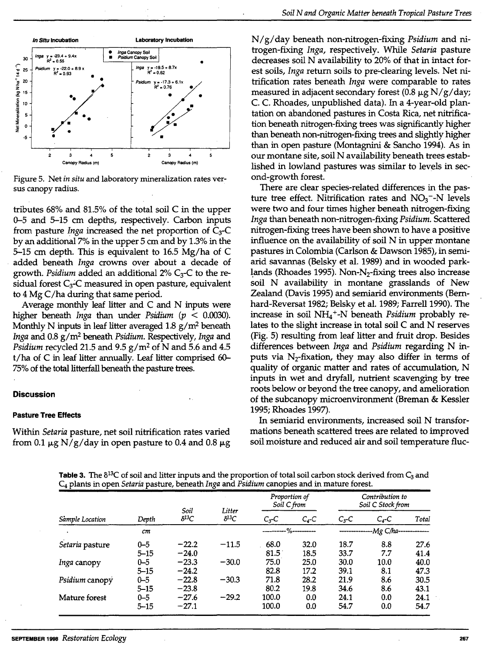

Figure 5. Net *in situ* and laboratory mineralization rates versus canopy radius.

tributes 68% and 81.5% of the total soil C in the upper 0-5 and 5-15 cm depths, respectively. Carbon inputs from pasture *Inga* increased the net proportion of C<sub>3</sub>-C by an additional 7% in the upper 5 cm and by 1.3% in the 5-15 cm depth. This is equivalent to 16.5 Mg/ha of C added beneath *Inga* crowns over about a decade of growth. *Psidium* added an additional 2% C<sub>3</sub>-C to the residual forest  $C_3$ -C measured in open pasture, equivalent to 4 Mg C/ha during that same period.

Average monthly leaf litter and C and N inputs were higher beneath *Inga* than under *Psidium (p* < 0.0030). Monthly N inputs in leaf litter averaged  $1.8 \text{ g/m}^2$  beneath *Inga* and 0.8 g/m2 beneath *Psidium.* Respectively, *Inga* and *Psidium recycled 21.5 and 9.5 g/m<sup>2</sup> of N and 5.6 and 4.5* t/ha of C in leaf litter annually. Leaf litter comprised 60- 75% of the total litterfall beneath the pasture trees.

#### **Discussion**

#### Pasture Tree Effects

Within *Setaria* pasture, net soil nitrification rates varied from 0.1  $\mu$ g N/g/day in open pasture to 0.4 and 0.8  $\mu$ g

*N/g/day beneath non-nitrogen-fixing <i>Psidium* and nitrogen-fixing *Inga,* respectively. While *Setaria* pasture decreases soil N availability to 20% of that in intact forest soils, *Inga* return soils to pre-clearing levels. Net nitrification rates beneath *Inga* were comparable to rates measured in adjacent secondary forest  $(0.8 \mu g N/g/day)$ ; C. C. Rhoades, unpublished data). In a 4-year-old plantation on abandoned pastures in Costa Rica, net nitrification beneath nitrogen-fixing trees was significantly higher than beneath non-nitrogen-fixing trees and slightly higher than in open pasture (Montagnini & Sancho 1994). As in our montane site, soil N availability beneath trees established in lowland pastures was similar to levels in second-growth forest.

There are clear species-related differences in the pasture tree effect. Nitrification rates and  $NO<sub>3</sub>$ <sup>-</sup>-N levels were two and four times higher beneath nitrogen-fixing *Inga* than beneath non-nitrogen-fixing *Psidium.* Scattered nitrogen-fixing trees have been shown to have a positive influence on the availability of soil N in upper montane pastures in Colombia (Carlson & Dawson 1985), in semiarid savannas (Belsky et al. 1989) and in wooded park lands (Rhoades 1995). Non-N<sub>2</sub>-fixing trees also increase soil N availability in montane grasslands of New Zealand (Davis 1995) and semiarid environments (Bemhard-Reversat 1982; Belsky et al. 1989; Farrell 1990). The increase in soil NH<sub>4</sub><sup>+</sup>-N beneath *Psidium* probably relates to the slight increase in total soil C and N reserves (Fig. 5) resulting from leaf litter and fruit drop. Besides differences between *Inga* and *Psidium* regarding N inputs via  $N_2$ -fixation, they may also differ in terms of quality of organic matter and rates of accumulation, N inputs in wet and dryfall, nutrient scavenging by tree roots below or beyond the tree canopy, and amelioration of the subcanopy microenvironment (Breman & Kessler 1995; Rhoades 1997).

In semiarid environments, increased soil N transformations beneath scattered trees are related to improved soil moisture and reduced air and soil temperature flue-

**Table 3.** The  $\delta^{13}$ C of soil and litter inputs and the proportion of total soil carbon stock derived from  $C_3$  and C4 plants in open *Setaria* pasture, beneath *Inga* and *Psidium* canopies and in mature forest.

| Sample Location    | Depth    | Soil<br>$\delta^{13}C$ | Litter<br>$\delta^{13}C$ | Proportion of<br>Soil C from |                  | Contribution to<br>Soil C Stock from |          |       |
|--------------------|----------|------------------------|--------------------------|------------------------------|------------------|--------------------------------------|----------|-------|
|                    |          |                        |                          | $Cx-C$                       | $C_4$ -C         | $C3-C$                               | $C_4$ -C | Total |
|                    | cm       |                        |                          |                              | -----%---------- | $-Mg$ C/ha---                        |          |       |
| Setaria pasture    | $0 - 5$  | $-22.2$                | $-11.5$                  | 68.0                         | 32.0             | 18.7                                 | 8.8      | 27.6  |
|                    | $5 - 15$ | $-24.0$                |                          | 81.5                         | 18.5             | 33.7                                 | 7.7      | 41.4  |
| <i>Inga</i> canopy | $0 - 5$  | $-23.3$                | $-30.0$                  | 75.0                         | 25.0             | 30.0                                 | 10.0     | 40.0  |
|                    | $5 - 15$ | $-24.2$                |                          | 82.8                         | 17.2             | 39.1                                 | 8.1      | 47.3  |
| Psidium canopy     | $0 - 5$  | $-22.8$                | $-30.3$                  | 71.8                         | 28.2             | 21.9                                 | 8.6      | 30.5  |
|                    | $5 - 15$ | $-23.8$                |                          | 80.2                         | 19.8             | 34.6                                 | 8.6      | 43.1  |
| Mature forest      | $0 - 5$  | $-27.6$                | $-29.2$                  | 100.0                        | 0.0              | 24.1                                 | 0.0      | 24.1  |
|                    | $5 - 15$ | $-27.1$                |                          | 100.0                        | 0.0              | 54.7                                 | 0.0      | 54.7  |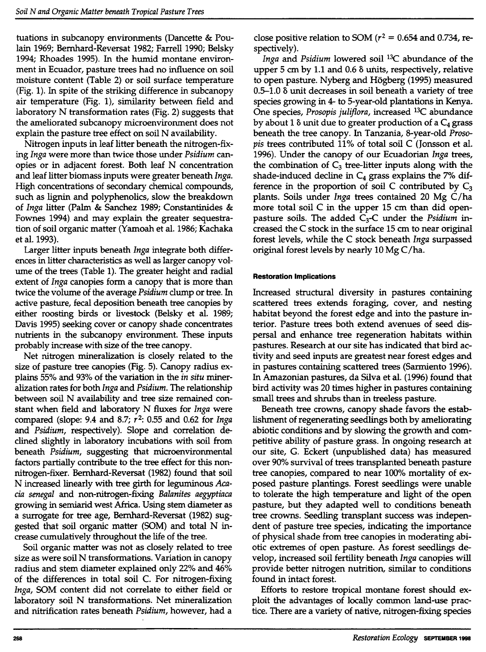tuations in subcanopy environments (Dancette & Poulain 1969; Bemhard-Reversat 1982; Farrell 1990; Belsky 1994; Rhoades 1995). In the humid montane environment in Ecuador, pasture trees had no influence on soil moisture content (Table 2) or soil surface temperature (Fig. 1). In spite of the striking difference in subcanopy air temperature (Fig. 1), similarity between field and laboratory N transformation rates (Fig. 2) suggests that the ameliorated subcanopy microenvironment does not explain the pasture tree effect on soil N availability.

Nitrogen inputs in leaf litter beneath the nitrogen-fixing *Inga* were more than twice those under *Psidium* canopies or in adjacent forest. Both leaf N concentration and leaf litter biomass inputs were greater beneath *Inga.*  High concentrations of secondary chemical compounds, such as lignin and polyphenolics, slow the breakdown of *Inga* litter (Palm & Sanchez 1989; Constantinides & Fownes 1994) and may explain the greater sequestration of soil organic matter (Yamoah et al. 1986; Kachaka et al. 1993).

Larger litter inputs beneath *Inga* integrate both differences in litter characteristics as well as larger canopy volume of the trees (Table 1). The greater height and radial extent of *Inga* canopies form a canopy that is more than twice the volume of the average *Psidium* clump or tree. In active pasture, fecal deposition beneath tree canopies by either roosting birds or livestock (Belsky et al. 1989; Davis 1995) seeking cover or canopy shade concentrates nutrients in the subcanopy environment. These inputs probably increase with size of the tree canopy.

Net nitrogen mineralization is closely related to the size of pasture tree canopies (Fig. 5). Canopy radius explains 55% and 93% of the variation in the *in situ* mineralization rates for both *Inga* and *Psidium.* The relationship between soil N availability and tree size remained constant when field and laboratory N fluxes for *Inga* were compared (slope: 9.4 and 8.7; r 2: 0.55 and 0.62 for *Inga*  and *Psidium,* respectively). Slope and correlation declined slightly in laboratory incubations with soil from beneath *Psidium,* suggesting that microenvironmental factors partially contribute to the tree effect for this nonnitrogen-fixer. Bernhard-Reversat (1982) found that soil N increased linearly with tree girth for leguminous *Acacia senegal* and non-nitrogen-fixing *Balanites aegyptiaca*  growing in semiarid west Africa. Using stem diameter as a surrogate for tree age, Bemhard-Reversat (1982) suggested that soil organic matter (SOM) and total N increase cumulatively throughout the life of the tree.

Soil organic matter was not as closely related to tree size as were soil N transformations. Variation in canopy radius and stem diameter explained only 22% and 46% of the differences in total soil C. For nitrogen-fixing *Inga,* SOM content did not correlate to either field or laboratory soil N transformations. Net mineralization and nitrification rates beneath *Psidium,* however, had a

close positive relation to SOM ( $r^2$  = 0.654 and 0.734, respectively).

*Inga* and *Psidium* lowered soil <sup>1</sup>3C abundance of the upper 5 cm by 1.1 and 0.6  $\delta$  units, respectively, relative to open pasture. Nyberg and Hogberg (1995) measured 0.5-1.0 8 unit decreases in soil beneath a variety of tree species growing in 4- to 5-year-old plantations in Kenya. One species, *Prosopis juliflora,* increased 13C abundance by about 1  $\delta$  unit due to greater production of a  $C_4$  grass beneath the tree canopy. In Tanzania, 8-year-old *Prosopis* trees contributed 11% of total soil C (Jonsson et al. 1996). Under the canopy of our Ecuadorian *Inga* trees, the combination of  $C_3$  tree-litter inputs along with the shade-induced decline in  $C_4$  grass explains the 7% difference in the proportion of soil C contributed by  $C_3$ plants. Soils under *Inga* trees contained 20 Mg C/ha more total· soil C in the upper 15 cm than did openpasture soils. The added C3-C under the *Psidium* increased the C stock in the surface 15 cm to near original forest levels, while the C stock beneath *Inga* surpassed original forest levels by nearly 10 Mg C/ha.

## **Restoration Implications**

Increased structural diversity in pastures containing scattered trees extends foraging, cover, and nesting habitat beyond the forest edge and into the pasture interior. Pasture trees both extend avenues of seed dispersal and enhance tree regeneration habitats within pastures. Research at our site has indicated that bird activity and seed inputs are greatest near forest edges and in pastures containing scattered trees (Sarmiento 1996). In Amazonian pastures, da Silva et al. (1996) found that bird activity was 20 times higher in pastures containing small trees and shrubs than in treeless pasture.

Beneath tree crowns, canopy shade favors the establishment of regenerating seedlings both by ameliorating abiotic conditions and by slowing the growth and competitive ability of pasture grass. In ongoing research at our site, G. Eckert (unpublished data) has measured over 90% survival of trees transplanted beneath pasture tree canopies, compared to near 100% mortality of exposed pasture plantings. Forest seedlings were unable to tolerate the high temperature and light of the open pasture, but they adapted well to conditions beneath tree crowns. Seedling transplant success was independent of pasture tree species, indicating the importance of physical shade from tree canopies in moderating abiotic extremes of open pasture. As forest seedlings develop, increased soil fertility beneath *Inga* canopies will provide better nitrogen nutrition, similar to conditions found in intact forest.

Efforts to restore tropical montane forest should exploit the advantages of locally common land-use practice. There are a variety of native, nitrogen-fixing species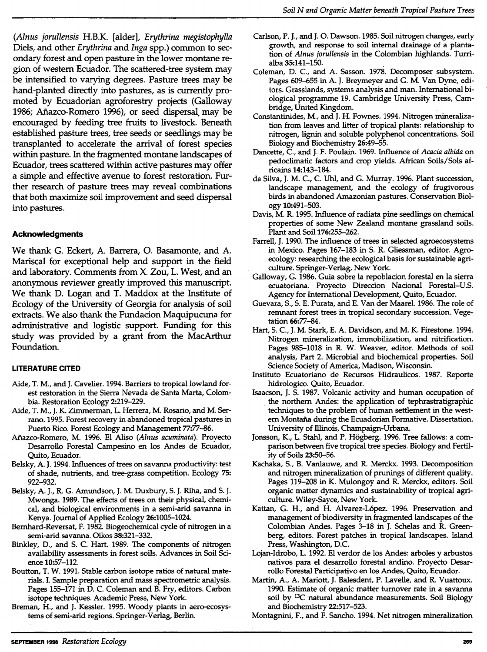*(Alnus jorullensis* H.B.K. [alder], *Erythrina megistophylla*  Diels, and other *Erythrina* and *Inga* spp.) common to secondary forest and open pasture in the lower montane region of western Ecuador. The scattered-tree system may be intensified to varying degrees. Pasture trees may be hand-planted directly into pastures, as is currently promoted by Ecuadorian agroforestry projects (Galloway 1986; Aftazco-Romero 1996), or seed dispersal. may be encouraged by feeding tree fruits to livestock. Beneath established pasture trees, tree seeds or seedlings may be transplanted to accelerate the arrival of forest species within pasture. In the fragmented montane landscapes of Ecuador, trees scattered within active pastures may offer a simple and effective avenue to forest restoration. Further research of pasture trees may reveal combinations that both maximize soil improvement and seed dispersal into pastures.

# **Acknowledgments**

We thank G. Eckert, A. Barrera, 0. Basamonte, and A. Mariscal for exceptional help and support in the field and laboratory. Comments from X. Zou, L. West, and an anonymous reviewer greatly improved this manuscript. We thank D. Logan and T. Maddox at the Institute of Ecology of the University of Georgia for analysis of soil extracts. We also thank the Fundacion Maquipucuna for administrative and logistic support. Funding for this study was provided by a grant from the MacArthur Foundation.

# **LITERATURE CITED**

- Aide, T. M., and J. Cavelier. 1994. Barriers to tropical lowland forest restoration in the Sierra Nevada de Santa Marta, Colombia. Restoration Ecology 2:219-229.
- Aide, T. M., J. K. Zimmerman, L. Herrera, M. Rosario, and M. Serrano. 1995. Forest recovery in abandoned tropical pastures in Puerto Rico. Forest Ecology and Management 77:77-86.
- Aflazco-Romero, M. 1996. El Aliso *(Alnus acuminata).* Proyecto Desarrollo Foresta! Campesino en los Andes de Ecuador, Quito, Ecuador.
- Belsky, A. J. 1994. Influences of trees on savanna productivity: test of shade, nutrients, and tree-grass competition. Ecology 75: 922-932.
- Belsky, A. J., R G. Amundson, J. M. Duxbury, S. J. Riha, and S. J. Mwonga. 1989. The effects of trees on their physical, chemical, and biological environments in a semi-arid savanna in Kenya. Journal of Applied Ecology 26:1005-1024.
- Bernhard-Reversat, F. 1982. Biogeochemical cycle of nitrogen in a semi-arid savanna. Oikos 38:321-332.
- Binkley, D., and S. C. Hart. 1989. The components of nitrogen availability assessments in forest soils. Advances in Soil Science 10:57-112.
- Boutton, T. W. 1991. Stable carbon isotope ratios of natural materials. I. Sample preparation and mass spectrometric analysis. Pages 155-171 in D. C. Coleman and B. Fry, editors. Carbon isotope techniques. Academic Press, New York.
- Breman, H., and J. Kessler. 1995. Woody plants in aero-ecosystems of semi-arid regions. Springer-Verlag, Berlin.
- Carlson, P. J., and J. 0. Dawson. 1985. Soil nitrogen changes, early growth, and response to soil internal drainage of a plantation of *Alnus jorullensis* in the Colombian highlands. Turrialba 35:141-150. .
- Coleman, D. C., and A. Sasson. 1978. Decomposer subsystem. Pages 609-655 in A. J. Breymeyer and G. M. Van Dyne, editors. Grasslands, systems analysis and man. International biological programme 19. Cambridge University Press, Cambridge, United Kingdom.
- Constantinides, M., and J. H. Fownes. 1994. Nitrogen mineralization from leaves and litter of tropical plants: relationship to nitrogen, lignin and soluble polyphenol concentrations. Soil Biology and Biochemistry 26:49-55.
- Dancette, C., and J. F. Poulain. 1969. Influence of *Acacia albida* on pedoclimatic factors and crop yields. African Soils/Sols africains 14:143-184.
- da Silva, J.M. C., C. Uhl, and G. Murray. 1996. Plant succession, landscape management, and the ecology of frugivorous birds in abandoned Amazonian pastures. Conservation Biology 10:491-503.
- Davis, M. R. 1995. Influence of radiata pine seedlings on chemical properties of some New Zealand montane grassland soils. Plant and Soil 176:255-262.
- Farrell, J. 1990. The influence of trees in selected agroecosystems in Mexico. Pages 167-183 in S. R. Gliessman, editor. Agroecology: researching the ecological basis for sustainable agriculture. Springer-Verlag, New York.
- Galloway, G. 1986. Guia sobre la repoblacion forestal en la sierra ecuatoriana. Proyecto Direccion Nacional Forestal-U.S. Agency for International Development, Quito, Ecuador.
- Guevara, S., S. E. Purata, and E. Van der Maarel. 1986. The role of remnant forest trees in tropical secondary succession. Vegetation 66:77-84.
- Hart, S. C., J. M. Stark, E. A. Davidson, and M. K. Firestone. 1994. Nitrogen mineralization, immobilization, and nitrification. Pages 985-1018 in R. W. Weaver, editor. Methods of soil analysis, Part 2. Microbial and biochemical properties. Soil Science Society of America, Madison, Wisconsin.
- Instituto Ecuatoriano de Recursos Hidraulicos. 1987. Reporte hidrologico. Quito, Ecuador.
- Isaacson, J. S. 1987. Volcanic activity and human occupation of . the northern Andes: the application of tephrastratigraphic techniques to the problem of human settlement in the western Montaña during the Ecuadorian Formative. Dissertation. University of Illinois, Champaign-Urbana.
- Jonsson, K., L. Stahl, and P. Hogberg. 1996. Tree fallows: a comparison between five tropical tree species. Biology and Fertility of Soils 23:50-56.
- Kachaka, S., B. Vanlauwe, and R. Merckx. 1993. Decomposition and nitrogen mineralization of prunings of different quality. Pages 119-208 in K. Mulongoy and R. Merckx, editors. Soil organic matter dynamics and sustainability of tropical agriculture. Wiley-Sayce, New York.
- Kattan, G. H., and H. Alvarez-López. 1996. Preservation and management of biodiversity in fragmented landscapes of the Colombian Andes. Pages 3-18 in J. Schelas and R. Greenberg, editors. Forest patches in tropical landscapes. Island Press, Washington, D.C.
- Lojan-Idrobo, L. 1992. El verdor de los Andes: arboles y arbustos nativos para el desarrollo forestal andino. Proyecto Desarrollo Foresta} Participativo en los Andes, Quito, Ecuador.
- Martin, A., A. Mariott, J. Balesdent, P. Lavelle, and R. Vuattoux. 1990. Estimate of organic matter turnover rate in a savanna soil by 13C natural abundance measurements. Soil Biology and Biochemistry 22:517-523.

Montagnini, F., and F. Sancho. 1994. Net nitrogen mineralization